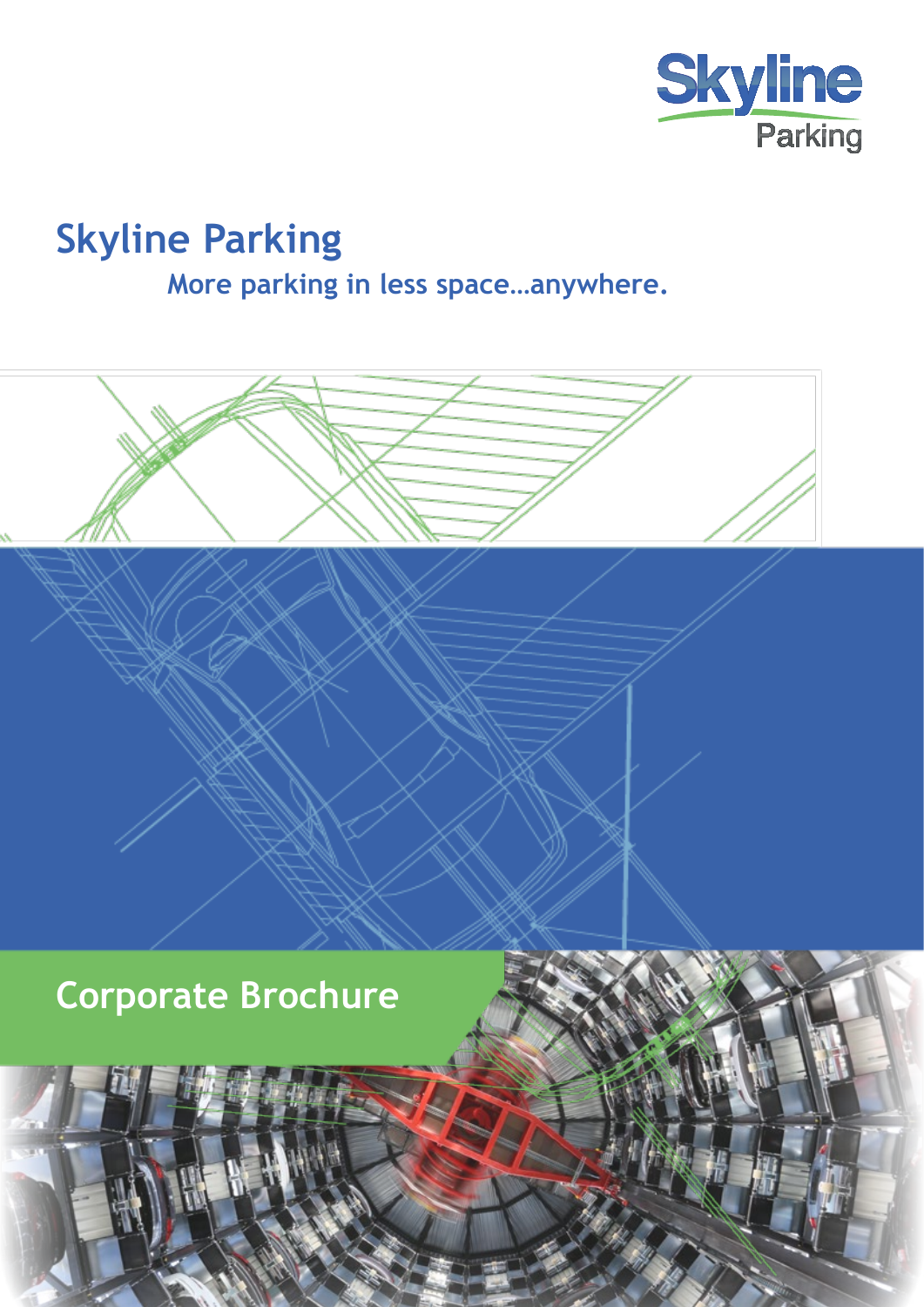

# **Skyline Parking More parking in less space…anywhere.**

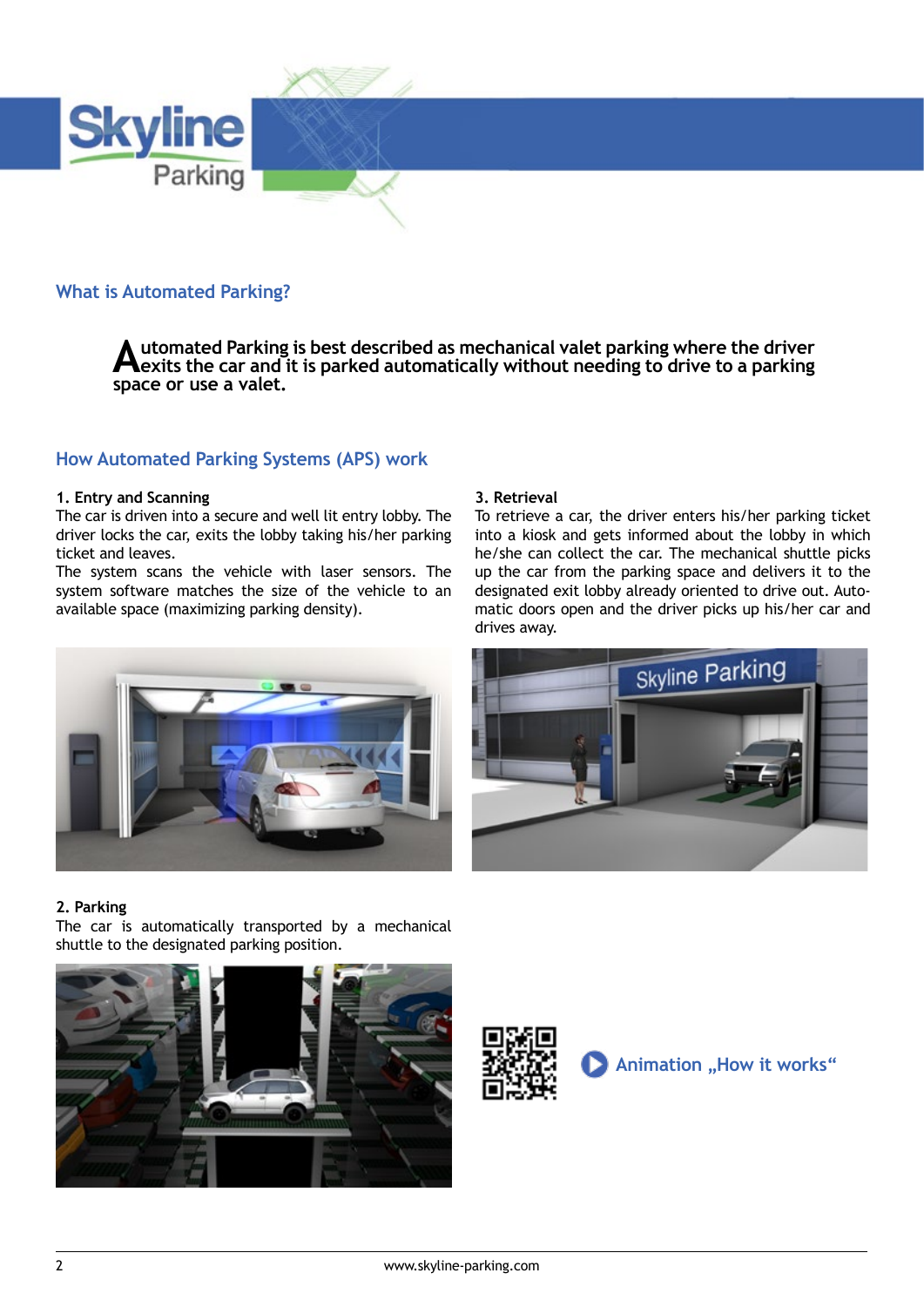

## **What is Automated Parking?**

**Automated Parking is best described as mechanical valet parking where the driver exits the car and it is parked automatically without needing to drive to a parking space or use a valet.** 

## **How Automated Parking Systems (APS) work**

#### **1. Entry and Scanning**

The car is driven into a secure and well lit entry lobby. The driver locks the car, exits the lobby taking his/her parking ticket and leaves.

The system scans the vehicle with laser sensors. The system software matches the size of the vehicle to an available space (maximizing parking density).

#### **3. Retrieval**

To retrieve a car, the driver enters his/her parking ticket into a kiosk and gets informed about the lobby in which he/she can collect the car. The mechanical shuttle picks up the car from the parking space and delivers it to the designated exit lobby already oriented to drive out. Automatic doors open and the driver picks up his/her car and drives away.

Skyline Parking



#### **2. Parking**

The car is automatically transported by a mechanical shuttle to the designated parking position.



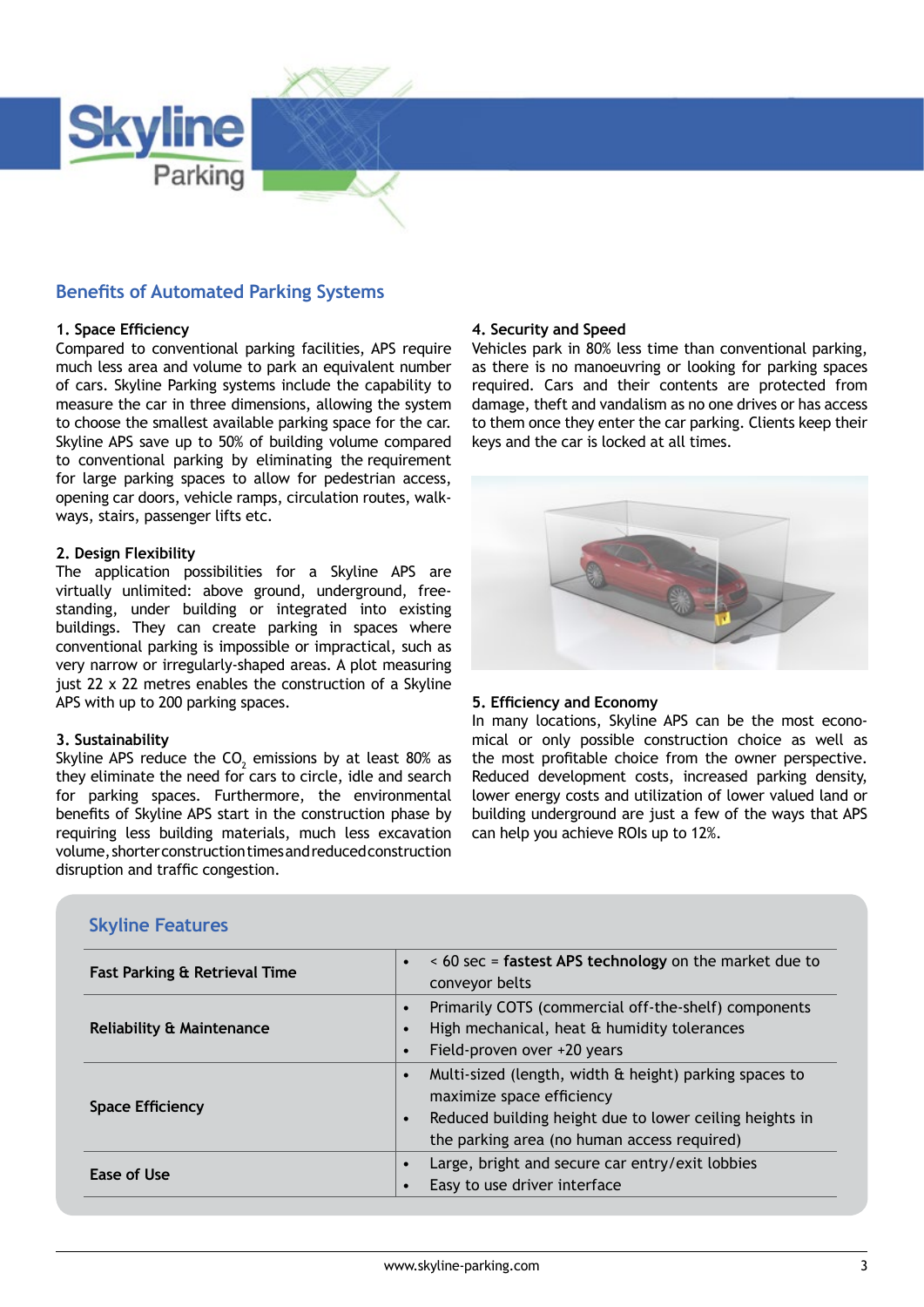

## **Benefits of Automated Parking Systems**

#### **1. Space Efficiency**

Compared to conventional parking facilities, APS require much less area and volume to park an equivalent number of cars. Skyline Parking systems include the capability to measure the car in three dimensions, allowing the system to choose the smallest available parking space for the car. Skyline APS save up to 50% of building volume compared to conventional parking by eliminating the requirement for large parking spaces to allow for pedestrian access, opening car doors, vehicle ramps, circulation routes, walkways, stairs, passenger lifts etc.

#### **2. Design Flexibility**

The application possibilities for a Skyline APS are virtually unlimited: above ground, underground, freestanding, under building or integrated into existing buildings. They can create parking in spaces where conventional parking is impossible or impractical, such as very narrow or irregularly-shaped areas. A plot measuring just 22 x 22 metres enables the construction of a Skyline APS with up to 200 parking spaces.

#### **3. Sustainability**

Skyline APS reduce the CO<sub>2</sub> emissions by at least 80% as they eliminate the need for cars to circle, idle and search for parking spaces. Furthermore, the environmental benefits of Skyline APS start in the construction phase by requiring less building materials, much less excavation volume, shorter construction times and reduced construction disruption and traffic congestion.

## **4. Security and Speed**

Vehicles park in 80% less time than conventional parking, as there is no manoeuvring or looking for parking spaces required. Cars and their contents are protected from damage, theft and vandalism as no one drives or has access to them once they enter the car parking. Clients keep their keys and the car is locked at all times.



#### **5. Efficiency and Economy**

In many locations, Skyline APS can be the most economical or only possible construction choice as well as the most profitable choice from the owner perspective. Reduced development costs, increased parking density, lower energy costs and utilization of lower valued land or building underground are just a few of the ways that APS can help you achieve ROIs up to 12%.

| <b>Skyline Features</b> |  |
|-------------------------|--|
|                         |  |

| Fast Parking & Retrieval Time        | < 60 sec = fastest APS technology on the market due to<br>conveyor belts                                                                                                                      |
|--------------------------------------|-----------------------------------------------------------------------------------------------------------------------------------------------------------------------------------------------|
| <b>Reliability &amp; Maintenance</b> | Primarily COTS (commercial off-the-shelf) components<br>High mechanical, heat & humidity tolerances<br>Field-proven over +20 years                                                            |
| <b>Space Efficiency</b>              | Multi-sized (length, width & height) parking spaces to<br>maximize space efficiency<br>Reduced building height due to lower ceiling heights in<br>the parking area (no human access required) |
| Ease of Use                          | Large, bright and secure car entry/exit lobbies<br>Easy to use driver interface                                                                                                               |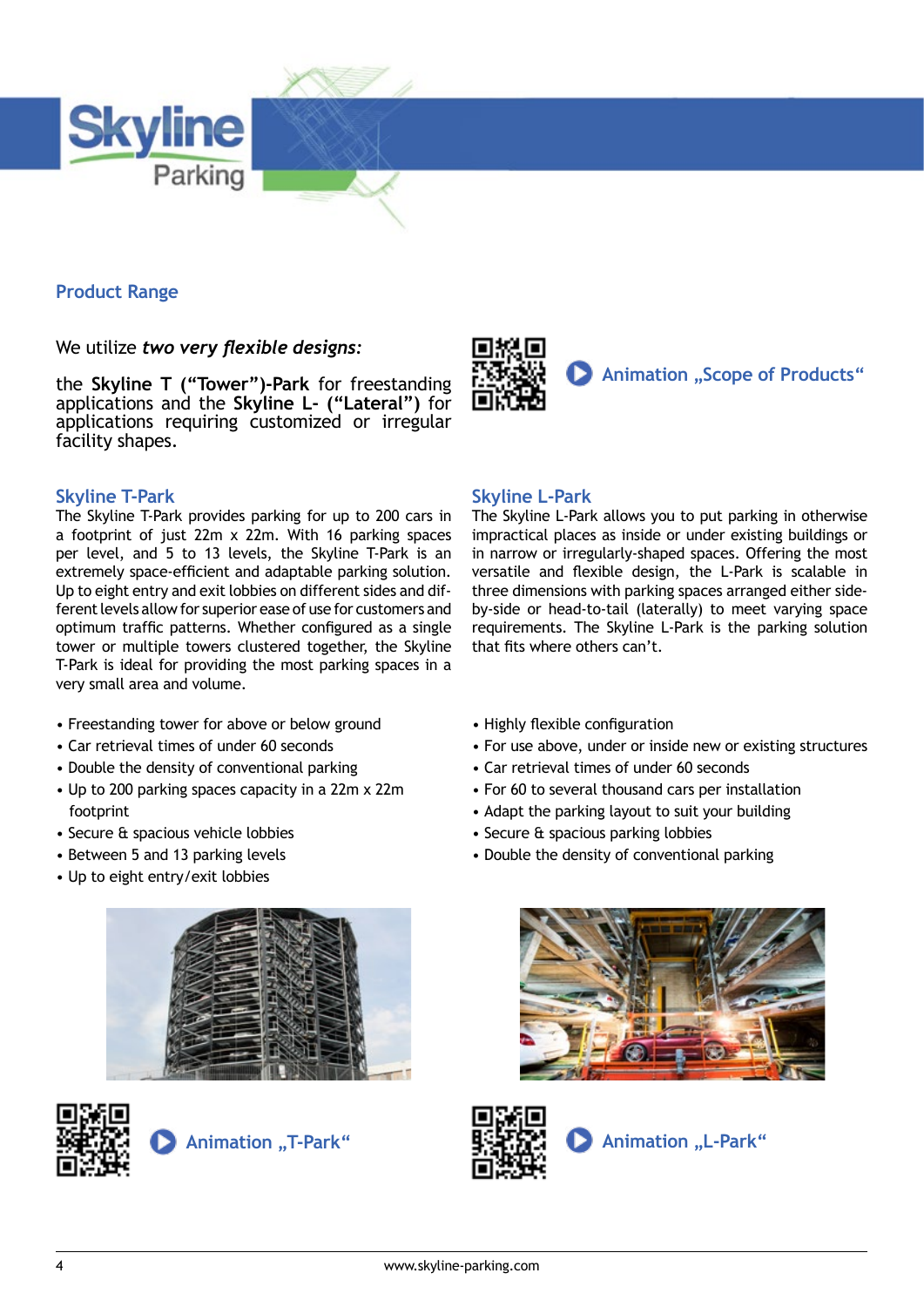

## **Product Range**

We utilize *two very flexible designs:* 

the **Skyline T ("Tower")-Park** for freestanding applications and the **Skyline L- ("Lateral")** for applications requiring customized or irregular facility shapes.

### **Skyline T-Park**

The Skyline T-Park provides parking for up to 200 cars in a footprint of just 22m x 22m. With 16 parking spaces per level, and 5 to 13 levels, the Skyline T-Park is an extremely space-efficient and adaptable parking solution. Up to eight entry and exit lobbies on different sides and different levels allow for superior ease of use for customers and optimum traffic patterns. Whether configured as a single tower or multiple towers clustered together, the Skyline T-Park is ideal for providing the most parking spaces in a very small area and volume.

- Freestanding tower for above or below ground
- Car retrieval times of under 60 seconds
- Double the density of conventional parking
- Up to 200 parking spaces capacity in a 22m x 22m footprint
- Secure & spacious vehicle lobbies
- Between 5 and 13 parking levels
- Up to eight entry/exit lobbies







## **Animation ..Scope of Products**"

### **Skyline L-Park**

The Skyline L-Park allows you to put parking in otherwise impractical places as inside or under existing buildings or in narrow or irregularly-shaped spaces. Offering the most versatile and flexible design, the L-Park is scalable in three dimensions with parking spaces arranged either sideby-side or head-to-tail (laterally) to meet varying space requirements. The Skyline L-Park is the parking solution that fits where others can't.

- Highly flexible configuration
- For use above, under or inside new or existing structures
- Car retrieval times of under 60 seconds
- For 60 to several thousand cars per installation
- Adapt the parking layout to suit your building
- Secure & spacious parking lobbies
- Double the density of conventional parking



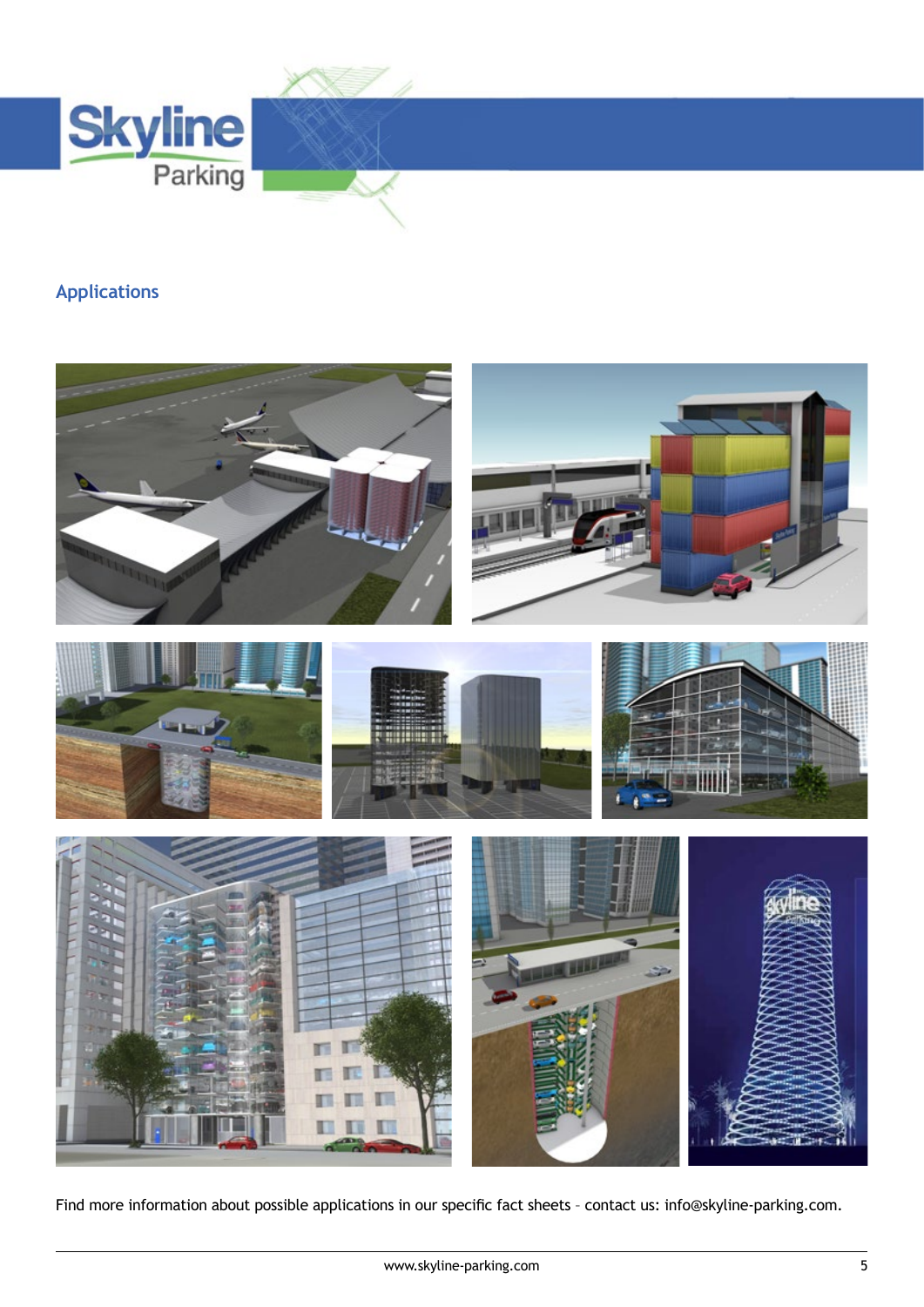

## **Applications**



Find more information about possible applications in our specific fact sheets – contact us: info@skyline-parking.com.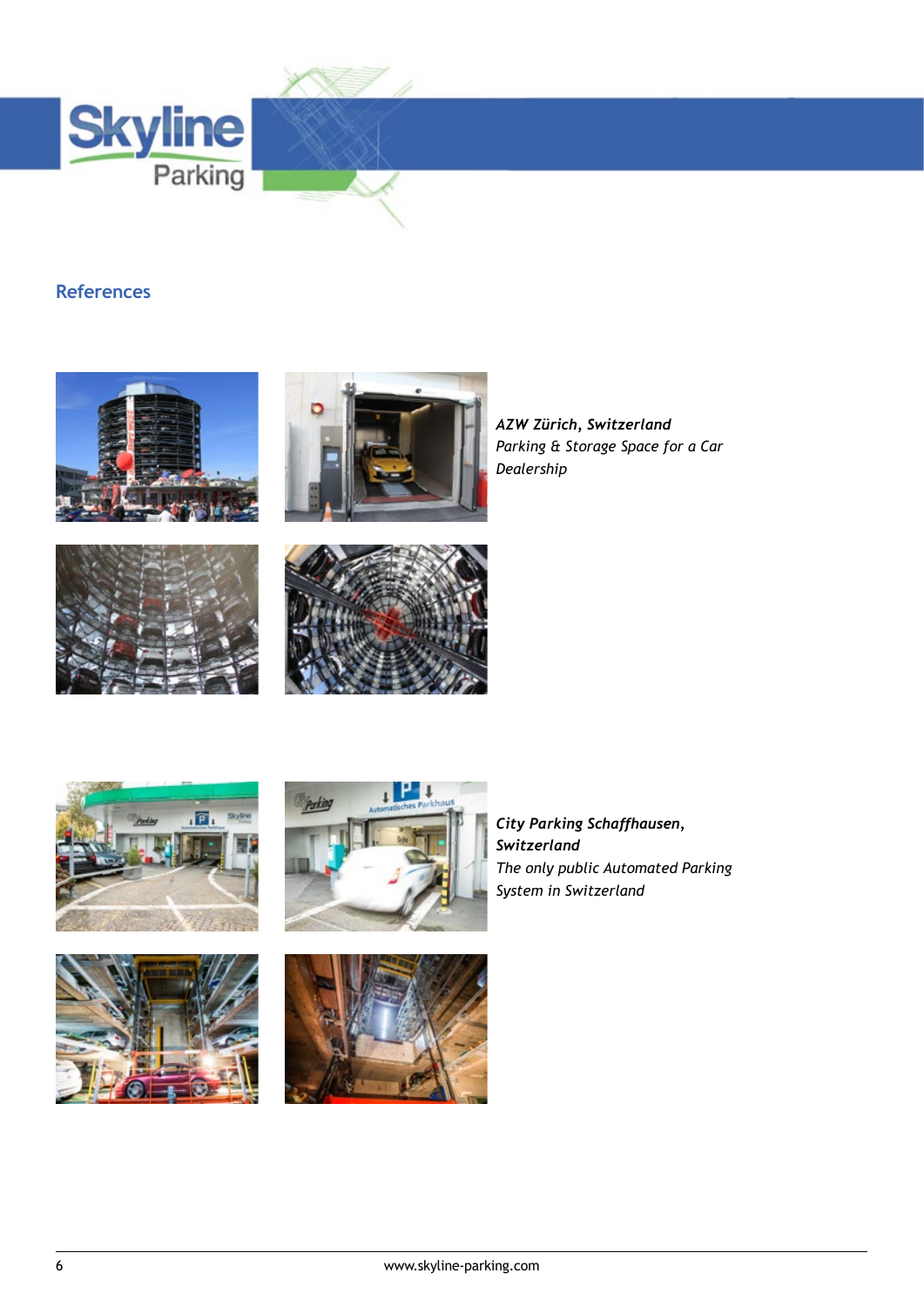

## **References**





*AZW Zürich, Switzerland Parking & Storage Space for a Car Dealership*









*City Parking Schaffhausen, Switzerland The only public Automated Parking System in Switzerland*



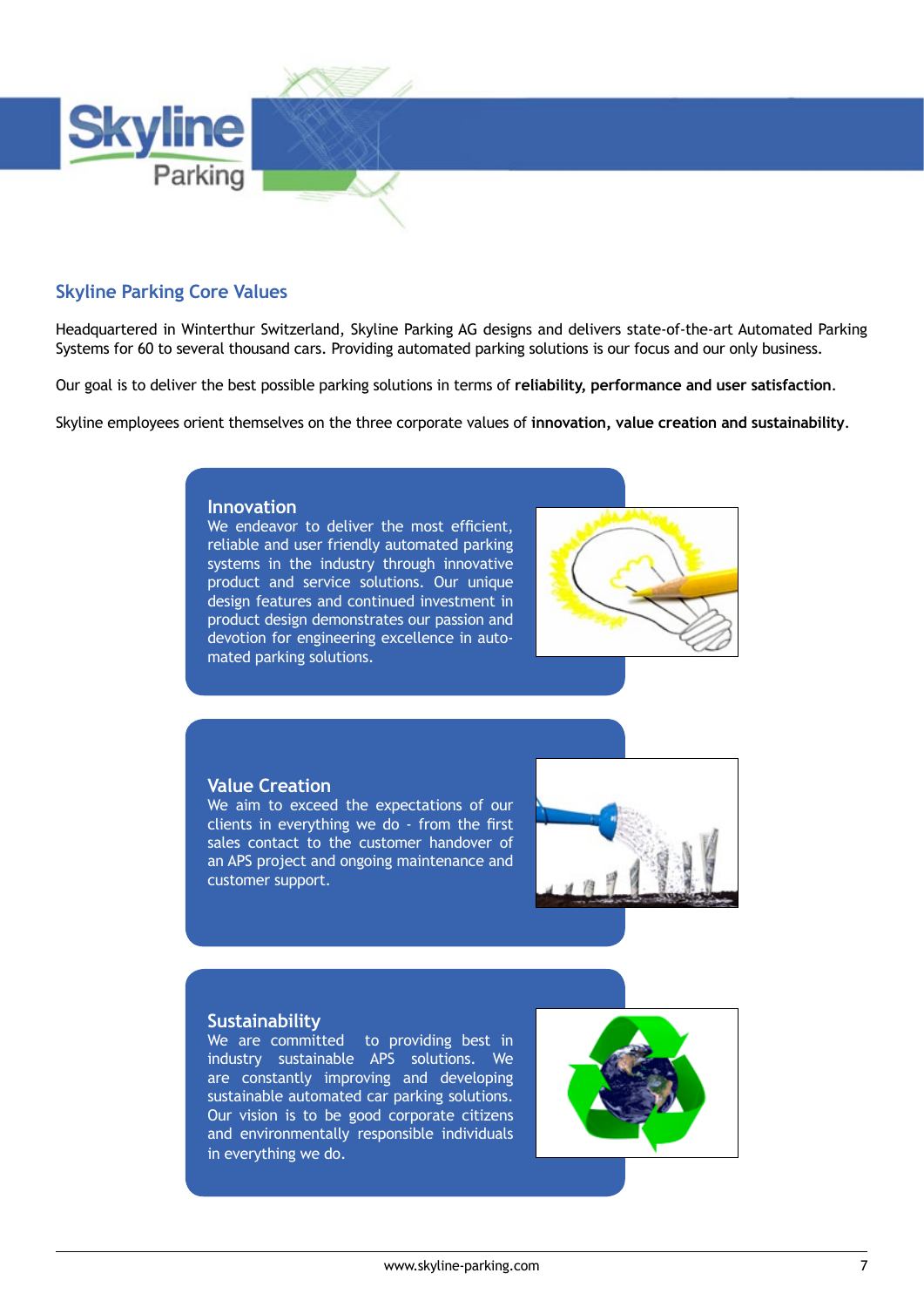

## **Skyline Parking Core Values**

Headquartered in Winterthur Switzerland, Skyline Parking AG designs and delivers state-of-the-art Automated Parking Systems for 60 to several thousand cars. Providing automated parking solutions is our focus and our only business.

Our goal is to deliver the best possible parking solutions in terms of **reliability, performance and user satisfaction**.

Skyline employees orient themselves on the three corporate values of **innovation, value creation and sustainability**.

#### **Innovation**

We endeavor to deliver the most efficient, reliable and user friendly automated parking systems in the industry through innovative product and service solutions. Our unique design features and continued investment in product design demonstrates our passion and devotion for engineering excellence in automated parking solutions.



#### **Value Creation**

We aim to exceed the expectations of our clients in everything we do - from the first sales contact to the customer handover of an APS project and ongoing maintenance and customer support.



#### **Sustainability**

We are committed to providing best in industry sustainable APS solutions. We are constantly improving and developing sustainable automated car parking solutions. Our vision is to be good corporate citizens and environmentally responsible individuals in everything we do.